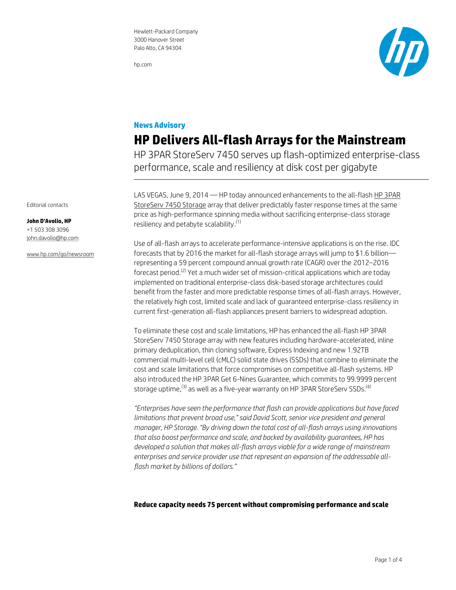[hp.com](http://www.hp.com/)



## **News Advisory**

# **HP Delivers All-flash Arrays forthe Mainstream**

HP 3PAR StoreServ 7450 serves up flash-optimized enterprise-class performance, scale and resiliency at disk cost per gigabyte

LAS VEGAS, June 9, 2014 — HP today announced enhancements to the all-flas[h HP 3PAR](http://www.hp.com/go/storeserv7450)  [StoreServ 7450 Storage](http://www.hp.com/go/storeserv7450) array that deliver predictably faster response times at the same price as high-performance spinning media without sacrificing enterprise-class storage resiliency and petabyte scalability.<sup>(1)</sup>

Use of all-flash arrays to accelerate performance-intensive applications is on the rise. IDC forecasts that by 2016 the market for all-flash storage arrays will jump to \$1.6 billion representing a 59 percent compound annual growth rate (CAGR) over the 2012–2016 forecast period.<sup>(2)</sup> Yet a much wider set of mission-critical applications which are today implemented on traditional enterprise-class disk-based storage architectures could benefit from the faster and more predictable response times of all-flash arrays. However, the relatively high cost, limited scale and lack of guaranteed enterprise-class resiliency in current first-generation all-flash appliances present barriers to widespread adoption.

To eliminate these cost and scale limitations, HP has enhanced the all-flash HP 3PAR StoreServ 7450 Storage array with new features including hardware-accelerated, inline primary deduplication, thin cloning software, Express Indexing and new 1.92TB commercial multi-level cell (cMLC) solid state drives (SSDs) that combine to eliminate the cost and scale limitations that force compromises on competitive all-flash systems. HP also introduced the HP 3PAR Get 6-Nines Guarantee, which commits to 99.9999 percent storage uptime,<sup>(3)</sup> as well as a five-year warranty on HP 3PAR StoreServ SSDs.<sup>(4)</sup>

*"Enterprises have seen the performance that flash can provide applications but have faced limitations that prevent broad use," said David Scott, senior vice president and general manager, HP Storage. "By driving down the total cost of all-flash arrays using innovations that also boost performance and scale, and backed by availability guarantees, HP has developed a solution that makes all-flash arrays viable for a wide range of mainstream enterprises and service provider use that represent an expansion of the addressable allflash market by billions of dollars."* 

## **Reduce capacity needs 75 percent without compromising performance and scale**

Editorial contacts

#### **John D'Avolio, HP** +1 503 308 3096

[john.davolio@hp.com](mailto:john.davolio@hp.com)

[www.hp.com/go/newsroom](http://www.hp.com/go/newsroom)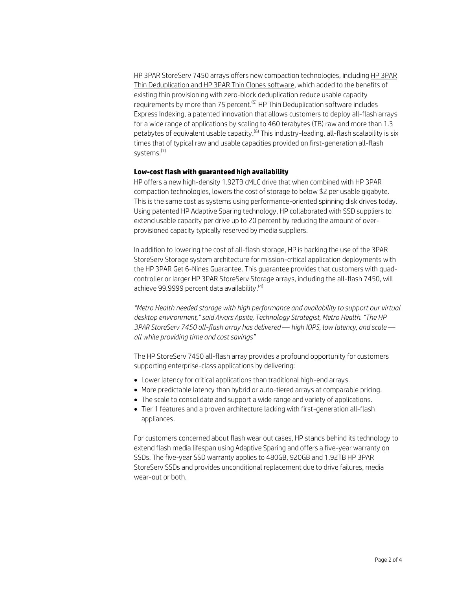[HP 3PAR](http://h20195.www2.hp.com/V2/GetDocument.aspx?docname=4AA5-2367ENW&cc=us&lc=en) StoreServ 7450 arrays offers new compaction technologies, including HP 3PAR Thin Deduplication [and HP 3PAR Thin Clones software,](http://h20195.www2.hp.com/V2/GetDocument.aspx?docname=4AA5-2367ENW&cc=us&lc=en) which added to the benefits of existing thin provisioning with zero-block deduplication reduce usable capacity requirements by more than 75 percent. (5) HP Thin Deduplication software includes Express Indexing, a patented innovation that allows customers to deploy all-flash arrays for a wide range of applications by scaling to 460 terabytes (TB) raw and more than 1.3 petabytes of equivalent usable capacity. (6) This industry-leading, all-flash scalability is six times that of typical raw and usable capacities provided on first-generation all-flash systems.(7)

## **Low-cost flash with guaranteed high availability**

HP offers a new high-density 1.92TB cMLC drive that when combined with HP 3PAR compaction technologies, lowers the cost of storage to below \$2 per usable gigabyte. This is the same cost as systems using performance-oriented spinning disk drives today. Using patented HP Adaptive Sparing technology, HP collaborated with SSD suppliers to extend usable capacity per drive up to 20 percent by reducing the amount of overprovisioned capacity typically reserved by media suppliers.

In addition to lowering the cost of all-flash storage, HP is backing the use of the 3PAR StoreServ Storage system architecture for mission-critical application deployments with the HP 3PAR Get 6-Nines Guarantee. This guarantee provides that customers with quadcontroller or larger HP 3PAR StoreServ Storage arrays, including the all-flash 7450, will achieve 99.9999 percent data availability.<sup>(4)</sup>

*"Metro Health needed storage with high performance and availability to support our virtual desktop environment," said Aivars Apsite, Technology Strategist, Metro Health. "The HP 3PAR StoreServ 7450 all-flash array has delivered* — *high IOPS, low latency, and scale all while providing time and cost savings"*

The HP StoreServ 7450 all-flash array provides a profound opportunity for customers supporting enterprise-class applications by delivering:

- Lower latency for critical applications than traditional high-end arrays.
- More predictable latency than hybrid or auto-tiered arrays at comparable pricing.
- The scale to consolidate and support a wide range and variety of applications.
- Tier 1 features and a proven architecture lacking with first-generation all-flash appliances.

For customers concerned about flash wear out cases, HP stands behind its technology to extend flash media lifespan using Adaptive Sparing and offers a five-year warranty on SSDs. The five-year SSD warranty applies to 480GB, 920GB and 1.92TB HP 3PAR StoreServ SSDs and provides unconditional replacement due to drive failures, media wear-out or both.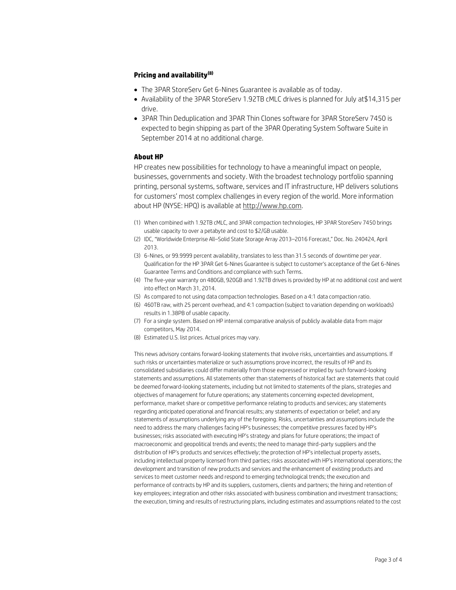### **Pricing and availability(8)**

- The 3PAR StoreServ Get 6-Nines Guarantee is available as of today.
- Availability of the 3PAR StoreServ 1.92TB cMLC drives is planned for July at\$14,315 per drive.
- 3PAR Thin Deduplication and 3PAR Thin Clones software for 3PAR StoreServ 7450 is expected to begin shipping as part of the 3PAR Operating System Software Suite in September 2014 at no additional charge.

#### **About HP**

HP creates new possibilities for technology to have a meaningful impact on people, businesses, governments and society. With the broadest technology portfolio spanning printing, personal systems, software, services and IT infrastructure, HP delivers solutions for customers' most complex challenges in every region of the world. More information about HP (NYSE: HPQ) is available a[t http://www.hp.com.](http://www.hp.com/)

- (1) When combined with 1.92TB cMLC, and 3PAR compaction technologies, HP 3PAR StoreServ 7450 brings usable capacity to over a petabyte and cost to \$2/GB usable.
- (2) IDC, "Worldwide Enterprise All–Solid State Storage Array 2013–2016 Forecast," Doc. No. 240424, April 2013.
- (3) 6-Nines, or 99.9999 percent availability, translates to less than 31.5 seconds of downtime per year. Qualification for the HP 3PAR Get 6-Nines Guarantee is subject to customer's acceptance of the Get 6-Nines Guarantee Terms and Conditions and compliance with such Terms.
- (4) The five-year warranty on 480GB, 920GB and 1.92TB drives is provided by HP at no additional cost and went into effect on March 31, 2014.
- (5) As compared to not using data compaction technologies. Based on a 4:1 data compaction ratio.
- (6) 460TB raw, with 25 percent overhead, and 4:1 compaction (subject to variation depending on workloads) results in 1.38PB of usable capacity.
- (7) For a single system. Based on HP internal comparative analysis of publicly available data from major competitors, May 2014.
- (8) Estimated U.S. list prices. Actual prices may vary.

This news advisory contains forward-looking statements that involve risks, uncertainties and assumptions. If such risks or uncertainties materialize or such assumptions prove incorrect, the results of HP and its consolidated subsidiaries could differ materially from those expressed or implied by such forward-looking statements and assumptions. All statements other than statements of historical fact are statements that could be deemed forward-looking statements, including but not limited to statements of the plans, strategies and objectives of management for future operations; any statements concerning expected development, performance, market share or competitive performance relating to products and services; any statements regarding anticipated operational and financial results; any statements of expectation or belief; and any statements of assumptions underlying any of the foregoing. Risks, uncertainties and assumptions include the need to address the many challenges facing HP's businesses; the competitive pressures faced by HP's businesses; risks associated with executing HP's strategy and plans for future operations; the impact of macroeconomic and geopolitical trends and events; the need to manage third-party suppliers and the distribution of HP's products and services effectively; the protection of HP's intellectual property assets, including intellectual property licensed from third parties; risks associated with HP's international operations; the development and transition of new products and services and the enhancement of existing products and services to meet customer needs and respond to emerging technological trends; the execution and performance of contracts by HP and its suppliers, customers, clients and partners; the hiring and retention of key employees; integration and other risks associated with business combination and investment transactions; the execution, timing and results of restructuring plans, including estimates and assumptions related to the cost